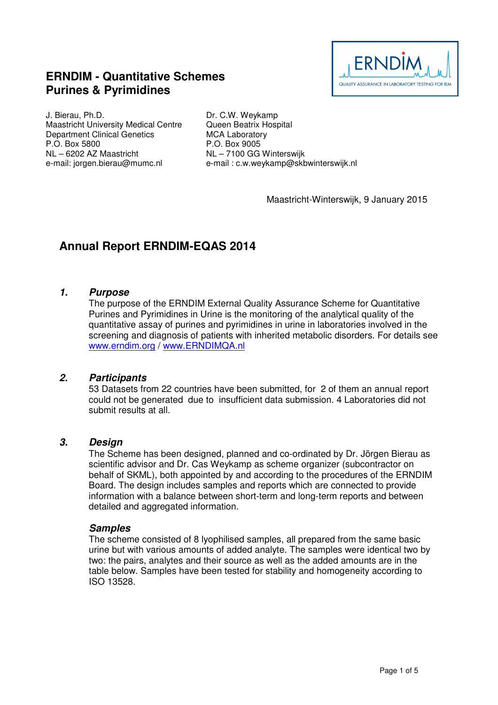## **ERNDIM - Quantitative Schemes Purines & Pyrimidines**



J. Bierau, Ph.D. Maastricht University Medical Centre Department Clinical Genetics P.O. Box 5800 NL – 6202 AZ Maastricht e-mail: jorgen.bierau@mumc.nl

Dr. C.W. Weykamp Queen Beatrix Hospital MCA Laboratory P.O. Box 9005 NL – 7100 GG Winterswijk e-mail : c.w.weykamp@skbwinterswijk.nl

Maastricht-Winterswijk, 9 January 2015

# **Annual Report ERNDIM-EQAS 2014**

#### **1. Purpose**

The purpose of the ERNDIM External Quality Assurance Scheme for Quantitative Purines and Pyrimidines in Urine is the monitoring of the analytical quality of the quantitative assay of purines and pyrimidines in urine in laboratories involved in the screening and diagnosis of patients with inherited metabolic disorders. For details see www.erndim.org / www.ERNDIMQA.nl

## **2. Participants**

53 Datasets from 22 countries have been submitted, for 2 of them an annual report could not be generated due to insufficient data submission. 4 Laboratories did not submit results at all.

#### **3. Design**

The Scheme has been designed, planned and co-ordinated by Dr. Jörgen Bierau as scientific advisor and Dr. Cas Weykamp as scheme organizer (subcontractor on behalf of SKML), both appointed by and according to the procedures of the ERNDIM Board. The design includes samples and reports which are connected to provide information with a balance between short-term and long-term reports and between detailed and aggregated information.

#### **Samples**

The scheme consisted of 8 lyophilised samples, all prepared from the same basic urine but with various amounts of added analyte. The samples were identical two by two: the pairs, analytes and their source as well as the added amounts are in the table below. Samples have been tested for stability and homogeneity according to ISO 13528.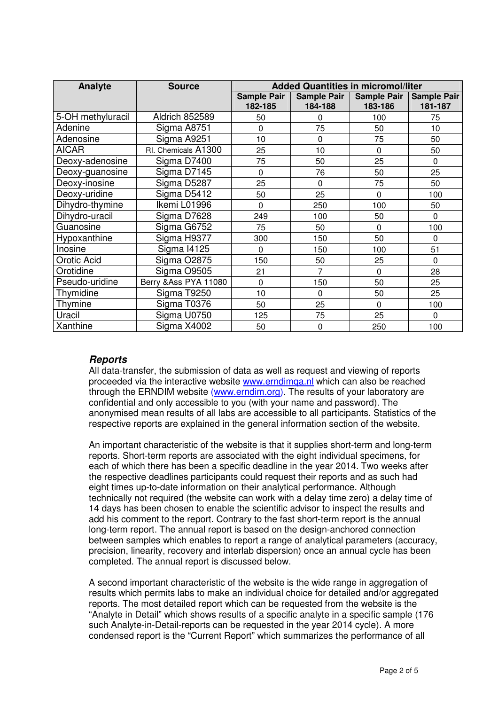| Analyte            | <b>Source</b>         | <b>Added Quantities in micromol/liter</b> |                          |                        |                               |
|--------------------|-----------------------|-------------------------------------------|--------------------------|------------------------|-------------------------------|
|                    |                       | <b>Sample Pair</b><br>182-185             | Sample Pair  <br>184-188 | Sample Pair<br>183-186 | <b>Sample Pair</b><br>181-187 |
| 5-OH methyluracil  | Aldrich 852589        | 50                                        | 0                        | 100                    | 75                            |
| Adenine            | Sigma A8751           | 0                                         | 75                       | 50                     | 10                            |
| Adenosine          | Sigma A9251           | 10                                        | $\mathbf 0$              | 75                     | 50                            |
| <b>AICAR</b>       | RI. Chemicals A1300   | 25                                        | 10                       | 0                      | 50                            |
| Deoxy-adenosine    | Sigma D7400           | 75                                        | 50                       | 25                     | $\Omega$                      |
| Deoxy-guanosine    | Sigma D7145           | 0                                         | 76                       | 50                     | 25                            |
| Deoxy-inosine      | Sigma D5287           | 25                                        | $\Omega$                 | 75                     | 50                            |
| Deoxy-uridine      | Sigma D5412           | 50                                        | 25                       | 0                      | 100                           |
| Dihydro-thymine    | Ikemi L01996          | $\Omega$                                  | 250                      | 100                    | 50                            |
| Dihydro-uracil     | Sigma D7628           | 249                                       | 100                      | 50                     | $\Omega$                      |
| Guanosine          | Sigma G6752           | 75                                        | 50                       | $\mathbf 0$            | 100                           |
| Hypoxanthine       | Sigma H9377           | 300                                       | 150                      | 50                     | $\mathbf 0$                   |
| Inosine            | <b>Sigma I4125</b>    | 0                                         | 150                      | 100                    | 51                            |
| <b>Orotic Acid</b> | Sigma O2875           | 150                                       | 50                       | 25                     | $\mathbf 0$                   |
| Orotidine          | Sigma O9505           | 21                                        | 7                        | $\Omega$               | 28                            |
| Pseudo-uridine     | Berry & Ass PYA 11080 | $\mathbf 0$                               | 150                      | 50                     | 25                            |
| Thymidine          | Sigma T9250           | 10                                        | $\Omega$                 | 50                     | 25                            |
| Thymine            | Sigma T0376           | 50                                        | 25                       | $\Omega$               | 100                           |
| Uracil             | Sigma U0750           | 125                                       | 75                       | 25                     | 0                             |
| Xanthine           | Sigma X4002           | 50                                        | 0                        | 250                    | 100                           |

## **Reports**

All data-transfer, the submission of data as well as request and viewing of reports proceeded via the interactive website www.erndimqa.nl which can also be reached through the ERNDIM website (www.erndim.org). The results of your laboratory are confidential and only accessible to you (with your name and password). The anonymised mean results of all labs are accessible to all participants. Statistics of the respective reports are explained in the general information section of the website.

An important characteristic of the website is that it supplies short-term and long-term reports. Short-term reports are associated with the eight individual specimens, for each of which there has been a specific deadline in the year 2014. Two weeks after the respective deadlines participants could request their reports and as such had eight times up-to-date information on their analytical performance. Although technically not required (the website can work with a delay time zero) a delay time of 14 days has been chosen to enable the scientific advisor to inspect the results and add his comment to the report. Contrary to the fast short-term report is the annual long-term report. The annual report is based on the design-anchored connection between samples which enables to report a range of analytical parameters (accuracy, precision, linearity, recovery and interlab dispersion) once an annual cycle has been completed. The annual report is discussed below.

A second important characteristic of the website is the wide range in aggregation of results which permits labs to make an individual choice for detailed and/or aggregated reports. The most detailed report which can be requested from the website is the "Analyte in Detail" which shows results of a specific analyte in a specific sample (176 such Analyte-in-Detail-reports can be requested in the year 2014 cycle). A more condensed report is the "Current Report" which summarizes the performance of all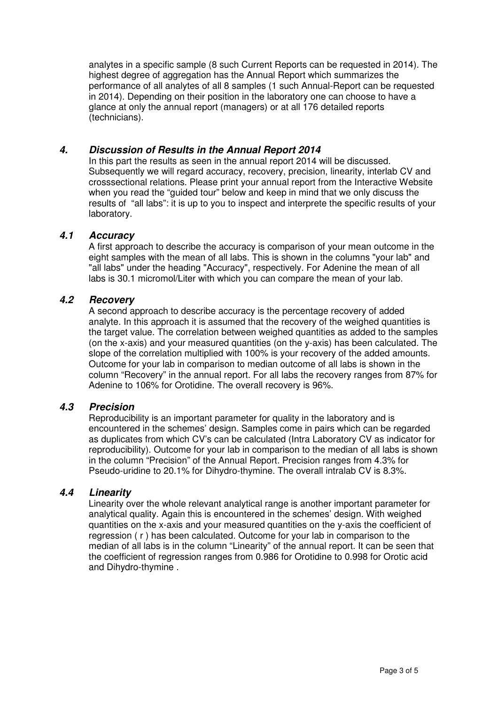analytes in a specific sample (8 such Current Reports can be requested in 2014). The highest degree of aggregation has the Annual Report which summarizes the performance of all analytes of all 8 samples (1 such Annual-Report can be requested in 2014). Depending on their position in the laboratory one can choose to have a glance at only the annual report (managers) or at all 176 detailed reports (technicians).

## **4. Discussion of Results in the Annual Report 2014**

In this part the results as seen in the annual report 2014 will be discussed. Subsequently we will regard accuracy, recovery, precision, linearity, interlab CV and crosssectional relations. Please print your annual report from the Interactive Website when you read the "guided tour" below and keep in mind that we only discuss the results of "all labs": it is up to you to inspect and interprete the specific results of your laboratory.

## **4.1 Accuracy**

A first approach to describe the accuracy is comparison of your mean outcome in the eight samples with the mean of all labs. This is shown in the columns "your lab" and "all labs" under the heading "Accuracy", respectively. For Adenine the mean of all labs is 30.1 micromol/Liter with which you can compare the mean of your lab.

## **4.2 Recovery**

A second approach to describe accuracy is the percentage recovery of added analyte. In this approach it is assumed that the recovery of the weighed quantities is the target value. The correlation between weighed quantities as added to the samples (on the x-axis) and your measured quantities (on the y-axis) has been calculated. The slope of the correlation multiplied with 100% is your recovery of the added amounts. Outcome for your lab in comparison to median outcome of all labs is shown in the column "Recovery" in the annual report. For all labs the recovery ranges from 87% for Adenine to 106% for Orotidine. The overall recovery is 96%.

#### **4.3 Precision**

Reproducibility is an important parameter for quality in the laboratory and is encountered in the schemes' design. Samples come in pairs which can be regarded as duplicates from which CV's can be calculated (Intra Laboratory CV as indicator for reproducibility). Outcome for your lab in comparison to the median of all labs is shown in the column "Precision" of the Annual Report. Precision ranges from 4.3% for Pseudo-uridine to 20.1% for Dihydro-thymine. The overall intralab CV is 8.3%.

#### **4.4 Linearity**

Linearity over the whole relevant analytical range is another important parameter for analytical quality. Again this is encountered in the schemes' design. With weighed quantities on the x-axis and your measured quantities on the y-axis the coefficient of regression ( r ) has been calculated. Outcome for your lab in comparison to the median of all labs is in the column "Linearity" of the annual report. It can be seen that the coefficient of regression ranges from 0.986 for Orotidine to 0.998 for Orotic acid and Dihydro-thymine .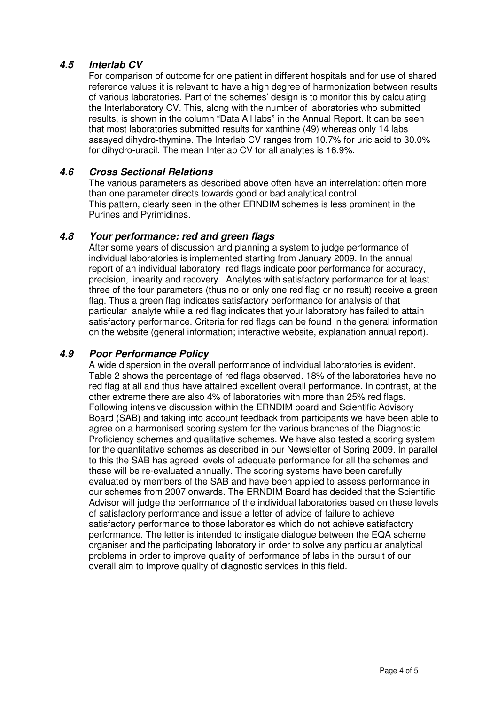## **4.5 Interlab CV**

For comparison of outcome for one patient in different hospitals and for use of shared reference values it is relevant to have a high degree of harmonization between results of various laboratories. Part of the schemes' design is to monitor this by calculating the Interlaboratory CV. This, along with the number of laboratories who submitted results, is shown in the column "Data All labs" in the Annual Report. It can be seen that most laboratories submitted results for xanthine (49) whereas only 14 labs assayed dihydro-thymine. The Interlab CV ranges from 10.7% for uric acid to 30.0% for dihydro-uracil. The mean Interlab CV for all analytes is 16.9%.

## **4.6 Cross Sectional Relations**

The various parameters as described above often have an interrelation: often more than one parameter directs towards good or bad analytical control. This pattern, clearly seen in the other ERNDIM schemes is less prominent in the Purines and Pyrimidines.

#### **4.8 Your performance: red and green flags**

After some years of discussion and planning a system to judge performance of individual laboratories is implemented starting from January 2009. In the annual report of an individual laboratory red flags indicate poor performance for accuracy, precision, linearity and recovery. Analytes with satisfactory performance for at least three of the four parameters (thus no or only one red flag or no result) receive a green flag. Thus a green flag indicates satisfactory performance for analysis of that particular analyte while a red flag indicates that your laboratory has failed to attain satisfactory performance. Criteria for red flags can be found in the general information on the website (general information; interactive website, explanation annual report).

## **4.9 Poor Performance Policy**

A wide dispersion in the overall performance of individual laboratories is evident. Table 2 shows the percentage of red flags observed. 18% of the laboratories have no red flag at all and thus have attained excellent overall performance. In contrast, at the other extreme there are also 4% of laboratories with more than 25% red flags. Following intensive discussion within the ERNDIM board and Scientific Advisory Board (SAB) and taking into account feedback from participants we have been able to agree on a harmonised scoring system for the various branches of the Diagnostic Proficiency schemes and qualitative schemes. We have also tested a scoring system for the quantitative schemes as described in our Newsletter of Spring 2009. In parallel to this the SAB has agreed levels of adequate performance for all the schemes and these will be re-evaluated annually. The scoring systems have been carefully evaluated by members of the SAB and have been applied to assess performance in our schemes from 2007 onwards. The ERNDIM Board has decided that the Scientific Advisor will judge the performance of the individual laboratories based on these levels of satisfactory performance and issue a letter of advice of failure to achieve satisfactory performance to those laboratories which do not achieve satisfactory performance. The letter is intended to instigate dialogue between the EQA scheme organiser and the participating laboratory in order to solve any particular analytical problems in order to improve quality of performance of labs in the pursuit of our overall aim to improve quality of diagnostic services in this field.